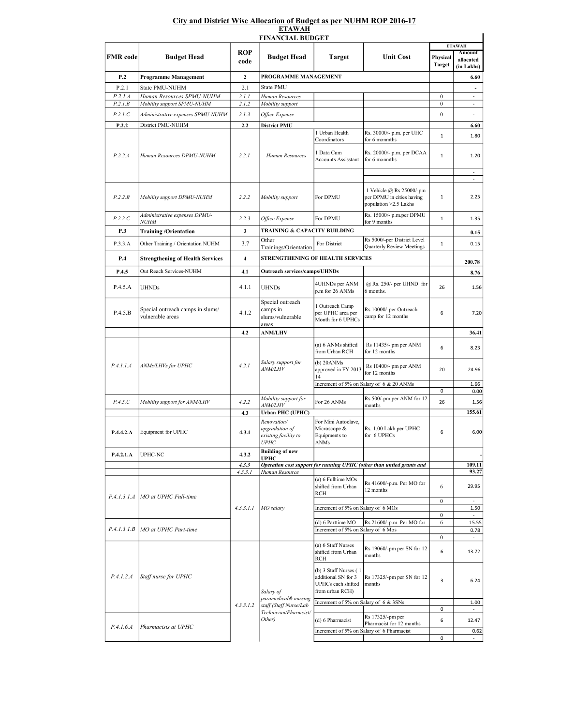## City and District Wise Allocation of Budget as per NUHM ROP 2016-17 ETAWAH

| <b>FINANCIAL BUDGET</b> |                                                      |                         |                                                                                                 |                                                                                                                                |                                                                                           |                           |                                  |  |  |  |  |  |
|-------------------------|------------------------------------------------------|-------------------------|-------------------------------------------------------------------------------------------------|--------------------------------------------------------------------------------------------------------------------------------|-------------------------------------------------------------------------------------------|---------------------------|----------------------------------|--|--|--|--|--|
|                         |                                                      | <b>ROP</b>              | <b>Budget Head</b>                                                                              | <b>Target</b>                                                                                                                  | <b>Unit Cost</b>                                                                          | <b>ETAWAH</b><br>Amount   |                                  |  |  |  |  |  |
| <b>FMR</b> code         | <b>Budget Head</b>                                   | code                    |                                                                                                 |                                                                                                                                |                                                                                           | Physical<br><b>Target</b> | allocated<br>(in Lakhs)          |  |  |  |  |  |
| P.2                     | <b>Programme Management</b>                          | $\mathbf{2}$            | PROGRAMME MANAGEMENT                                                                            |                                                                                                                                | 6.60                                                                                      |                           |                                  |  |  |  |  |  |
| P.2.1                   | State PMU-NUHM                                       | 2.1                     | <b>State PMU</b>                                                                                |                                                                                                                                |                                                                                           |                           | $\overline{\phantom{a}}$         |  |  |  |  |  |
| P.2.1.A                 | Human Resources SPMU-NUHM                            | 2.1.1                   | Human Resources                                                                                 |                                                                                                                                |                                                                                           | $\boldsymbol{0}$          | $\sim$                           |  |  |  |  |  |
| P.2.1B                  | Mobility support SPMU-NUHM                           | 2.1.2                   | Mobility support                                                                                |                                                                                                                                |                                                                                           | $\bf{0}$                  | $\overline{\phantom{a}}$         |  |  |  |  |  |
| P.2.1.C                 | Administrative expenses SPMU-NUHM                    | 2.1.3                   | Office Expense                                                                                  |                                                                                                                                |                                                                                           | $\boldsymbol{0}$          | ×,                               |  |  |  |  |  |
| P.2.2                   | District PMU-NUHM                                    | 2.2                     | <b>District PMU</b>                                                                             |                                                                                                                                |                                                                                           |                           | 6.60                             |  |  |  |  |  |
| P.2.2.A                 | Human Resources DPMU-NUHM                            | 2.2.1                   | <b>Human Resources</b>                                                                          | 1 Urban Health<br>Coordinators<br>1 Data Cum                                                                                   | Rs. 30000/- p.m. per UHC<br>for 6 monmths<br>Rs. 20000/- p.m. per DCAA                    | $\mathbf{1}$              | 1.80                             |  |  |  |  |  |
|                         |                                                      |                         |                                                                                                 | <b>Accounts Assisstant</b>                                                                                                     | for 6 monmths                                                                             | $\mathbf 1$               | 1.20<br>$\overline{\phantom{a}}$ |  |  |  |  |  |
|                         |                                                      |                         |                                                                                                 |                                                                                                                                |                                                                                           |                           | ×.                               |  |  |  |  |  |
| P.2.2.B                 | Mobility support DPMU-NUHM                           | 2.2.2                   | Mobility support                                                                                | For DPMU                                                                                                                       | 1 Vehicle @ Rs 25000/-pm<br>per DPMU in cities having<br>population > 2.5 Lakhs           | $\mathbf{1}$              | 2.25                             |  |  |  |  |  |
| P.2.2.C                 | Administrative expenses DPMU-<br><i>NUHM</i>         | 2.2.3                   | Office Expense                                                                                  | For DPMU                                                                                                                       | Rs. 15000/- p.m.per DPMU<br>for 9 months                                                  | $\mathbf{1}$              | 1.35                             |  |  |  |  |  |
| P.3                     | <b>Training /Orientation</b>                         | 3                       | TRAINING & CAPACITY BUILDING                                                                    |                                                                                                                                |                                                                                           |                           | 0.15                             |  |  |  |  |  |
| P.3.3.A                 | Other Training / Orientation NUHM                    | 3.7                     | Other<br>Trainings/Orientation                                                                  | For District                                                                                                                   | Rs 5000/-per District Level<br>Quarterly Review Meetings                                  | $\mathbf 1$               | 0.15                             |  |  |  |  |  |
| P.4                     | <b>Strengthening of Health Services</b>              | $\overline{\mathbf{4}}$ | STRENGTHENING OF HEALTH SERVICES                                                                |                                                                                                                                |                                                                                           |                           | 200.78                           |  |  |  |  |  |
| P.4.5                   | Out Reach Services-NUHM                              | 4.1                     | <b>Outreach services/camps/UHNDs</b>                                                            |                                                                                                                                |                                                                                           |                           | 8.76                             |  |  |  |  |  |
| P.4.5.A                 | <b>UHNDs</b>                                         | 4.1.1                   | <b>UHNDs</b>                                                                                    | 4UHNDs per ANM<br>p.m for 26 ANMs                                                                                              | @ Rs. 250/- per UHND for<br>6 months.                                                     | 26                        | 1.56                             |  |  |  |  |  |
| P.4.5.B                 | Special outreach camps in slums/<br>vulnerable areas | 4.1.2                   | Special outreach<br>camps in<br>slums/vulnerable<br>areas                                       | 1 Outreach Camp<br>per UPHC area per<br>Month for 6 UPHCs                                                                      | Rs 10000/-per Outreach<br>camp for 12 months                                              | 6                         | 7.20                             |  |  |  |  |  |
|                         |                                                      | 4.2                     | <b>ANM/LHV</b>                                                                                  |                                                                                                                                |                                                                                           |                           | 36.41                            |  |  |  |  |  |
|                         |                                                      |                         |                                                                                                 | (a) 6 ANMs shifted<br>from Urban RCH                                                                                           | Rs 11435/- pm per ANM<br>for 12 months                                                    | 6                         | 8.23                             |  |  |  |  |  |
| P.4.1.1.A               | ANMs/LHVs for UPHC                                   | 4.2.1                   | Salary support for<br><i>ANM/LHV</i>                                                            | $(b)$ 20 $ANMs$<br>approved in FY 2013-<br>14                                                                                  | Rs 10400/- pm per ANM<br>for 12 months                                                    | 20                        | 24.96                            |  |  |  |  |  |
|                         |                                                      |                         |                                                                                                 |                                                                                                                                | Increment of 5% on Salary of 6 & 20 ANMs                                                  | 0                         | 1.66<br>0.00                     |  |  |  |  |  |
| P.4.5.C                 |                                                      |                         | Mobility support for                                                                            | For 26 ANMs                                                                                                                    | Rs 500/-pm per ANM for 12                                                                 | 26                        |                                  |  |  |  |  |  |
|                         | Mobility support for ANM/LHV                         | 4.2.2                   | <i>ANM/LHV</i>                                                                                  |                                                                                                                                | months                                                                                    |                           | 1.56                             |  |  |  |  |  |
| P.4.4.2.A               | Equipment for UPHC                                   | 4.3<br>4.3.1            | <b>Urban PHC (UPHC)</b><br>Renovation/<br>upgradation of<br>existing facility to<br><i>UPHC</i> | For Mini Autoclave,<br>Microscope &<br>Equipments to<br>ANMs                                                                   | Rs. 1.00 Lakh per UPHC<br>for 6 UPHCs                                                     | 6                         | 155.61<br>6.00                   |  |  |  |  |  |
| P.4.2.1.A               | <b>UPHC-NC</b>                                       | 4.3.2                   | <b>Building of new</b>                                                                          |                                                                                                                                |                                                                                           |                           |                                  |  |  |  |  |  |
|                         |                                                      | 4.3.3                   | <b>UPHC</b>                                                                                     |                                                                                                                                | Operation cost support for running UPHC (other than untied grants and                     |                           | 109.11                           |  |  |  |  |  |
|                         |                                                      | 4.3.3.1                 | Human Resource                                                                                  |                                                                                                                                |                                                                                           |                           | 93.27                            |  |  |  |  |  |
|                         | P.4.1.3.1.A   MO at UPHC Full-time                   |                         | MO salary                                                                                       | (a) 6 Fulltime MOs<br>shifted from Urban<br><b>RCH</b>                                                                         | Rs 41600/-p.m. Per MO for<br>12 months                                                    | 6                         | 29.95                            |  |  |  |  |  |
|                         |                                                      | 4.3.3.1.1               |                                                                                                 | Increment of 5% on Salary of 6 MOs                                                                                             |                                                                                           | $\bf{0}$                  | $\sim$<br>1.50                   |  |  |  |  |  |
|                         |                                                      |                         |                                                                                                 |                                                                                                                                |                                                                                           | $\bf{0}$                  |                                  |  |  |  |  |  |
| P.4.1.3.1.B             | MO at UPHC Part-time                                 |                         |                                                                                                 | (d) 6 Parttime MO<br>Increment of 5% on Salary of 6 Mos                                                                        | Rs 21600/-p.m. Per MO for                                                                 | 6                         | 15.55<br>0.78                    |  |  |  |  |  |
|                         |                                                      |                         |                                                                                                 |                                                                                                                                |                                                                                           | $\bf{0}$                  | $\overline{\phantom{a}}$         |  |  |  |  |  |
|                         |                                                      |                         |                                                                                                 | (a) 6 Staff Nurses<br>shifted from Urban<br><b>RCH</b>                                                                         | Rs 19060/-pm per SN for 12<br>months                                                      | 6                         | 13.72                            |  |  |  |  |  |
| P.4.1.2.A               | Staff nurse for UPHC                                 |                         | Salary of<br>paramedical& nursing                                                               | (b) 3 Staff Nurses (1<br>additional SN for 3<br>UPHCs each shifted<br>from urban RCH)<br>Increment of 5% on Salary of 6 & 3SNs | Rs 17325/-pm per SN for 12<br>months                                                      | 3                         | 6.24                             |  |  |  |  |  |
|                         |                                                      | 4.3.3.1.2               | staff (Staff Nurse/Lab                                                                          |                                                                                                                                |                                                                                           | 0                         | 1.00<br>$\sim$                   |  |  |  |  |  |
| P.4.1.6.4               | Pharmacists at UPHC                                  |                         | Technician/Pharmcist/<br>Other)                                                                 | (d) 6 Pharmacist                                                                                                               | Rs 17325/-pm per<br>Pharmacist for 12 months<br>Increment of 5% on Salary of 6 Pharmacist | 6                         | 12.47<br>0.62                    |  |  |  |  |  |
|                         |                                                      |                         |                                                                                                 |                                                                                                                                |                                                                                           | 0                         | ٠                                |  |  |  |  |  |